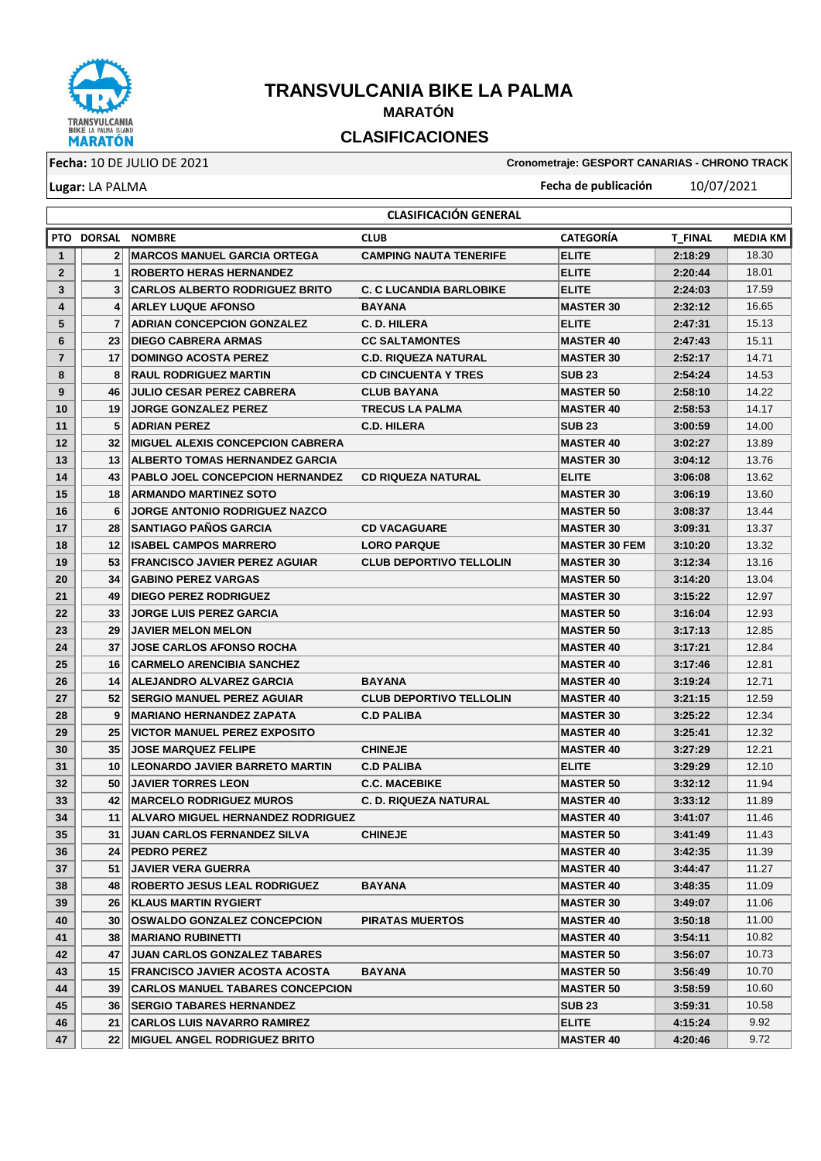

## **TRANSVULCANIA BIKE LA PALMA MARATÓN CLASIFICACIONES**

**Lugar:** LA PALMA

**Fecha:** 10 DE JULIO DE 2021 **Cronometraje: GESPORT CANARIAS - CHRONO TRACK**

**Fecha de publicación** 10/07/2021

|                   |                 |                                          | <b>CLASIFICACION GENERAL</b>   |                      |                |          |
|-------------------|-----------------|------------------------------------------|--------------------------------|----------------------|----------------|----------|
|                   |                 | PTO DORSAL NOMBRE                        | <b>CLUB</b>                    | <b>CATEGORÍA</b>     | <b>T FINAL</b> | MEDIA KM |
| $\mathbf{1}$      | 2               | <b>IMARCOS MANUEL GARCIA ORTEGA</b>      | <b>CAMPING NAUTA TENERIFE</b>  | <b>ELITE</b>         | 2:18:29        | 18.30    |
| $\mathbf{2}$      | 1               | <b>ROBERTO HERAS HERNANDEZ</b>           |                                | <b>ELITE</b>         | 2:20:44        | 18.01    |
| 3                 | 3 <sup>1</sup>  | <b>CARLOS ALBERTO RODRIGUEZ BRITO</b>    | <b>C. C LUCANDIA BARLOBIKE</b> | <b>ELITE</b>         | 2:24:03        | 17.59    |
| 4                 | 4               | <b>ARLEY LUQUE AFONSO</b>                | <b>BAYANA</b>                  | <b>MASTER 30</b>     | 2:32:12        | 16.65    |
| 5                 | 7               | <b>ADRIAN CONCEPCION GONZALEZ</b>        | <b>C. D. HILERA</b>            | <b>ELITE</b>         | 2:47:31        | 15.13    |
| 6                 | 23              | IDIEGO CABRERA ARMAS                     | <b>CC SALTAMONTES</b>          | <b>IMASTER 40</b>    | 2:47:43        | 15.11    |
| $\overline{7}$    | 17              | <b>IDOMINGO ACOSTA PEREZ</b>             | <b>C.D. RIQUEZA NATURAL</b>    | <b>MASTER 30</b>     | 2:52:17        | 14.71    |
| 8                 | 8               | <b>RAUL RODRIGUEZ MARTIN</b>             | <b>CD CINCUENTA Y TRES</b>     | <b>SUB 23</b>        | 2:54:24        | 14.53    |
| 9                 | 46              | <b>JULIO CESAR PEREZ CABRERA</b>         | <b>CLUB BAYANA</b>             | <b>MASTER 50</b>     | 2:58:10        | 14.22    |
| 10                | 19 <sup>1</sup> | <b>JORGE GONZALEZ PEREZ</b>              | <b>TRECUS LA PALMA</b>         | <b>MASTER 40</b>     | 2:58:53        | 14.17    |
| 11                | 5               | <b>ADRIAN PEREZ</b>                      | <b>C.D. HILERA</b>             | <b>SUB 23</b>        | 3:00:59        | 14.00    |
| $12 \overline{ }$ | 32              | <b>IMIGUEL ALEXIS CONCEPCION CABRERA</b> |                                | <b>MASTER 40</b>     | 3:02:27        | 13.89    |
| 13                | 13              | <b>ALBERTO TOMAS HERNANDEZ GARCIA</b>    |                                | <b>MASTER 30</b>     | 3:04:12        | 13.76    |
| 14                | 43              | <b>PABLO JOEL CONCEPCION HERNANDEZ</b>   | <b>CD RIQUEZA NATURAL</b>      | <b>ELITE</b>         | 3:06:08        | 13.62    |
| 15                | 18              | <b>ARMANDO MARTINEZ SOTO</b>             |                                | <b>MASTER 30</b>     | 3:06:19        | 13.60    |
| 16                | 6               | <b>JORGE ANTONIO RODRIGUEZ NAZCO</b>     |                                | <b>MASTER 50</b>     | 3:08:37        | 13.44    |
| 17                | 28 <sub>1</sub> | <b>SANTIAGO PAÑOS GARCIA</b>             | <b>CD VACAGUARE</b>            | <b>MASTER 30</b>     | 3:09:31        | 13.37    |
| 18                | 12              | <b>ISABEL CAMPOS MARRERO</b>             | <b>LORO PARQUE</b>             | <b>MASTER 30 FEM</b> | 3:10:20        | 13.32    |
| 19                | 53              | <b>FRANCISCO JAVIER PEREZ AGUIAR</b>     | <b>CLUB DEPORTIVO TELLOLIN</b> | <b>MASTER 30</b>     | 3:12:34        | 13.16    |
| 20                | 34              | <b>GABINO PEREZ VARGAS</b>               |                                | <b>MASTER 50</b>     | 3:14:20        | 13.04    |
| 21                | 49              | <b>DIEGO PEREZ RODRIGUEZ</b>             |                                | <b>MASTER 30</b>     | 3:15:22        | 12.97    |
| 22                | 33              | <b>JORGE LUIS PEREZ GARCIA</b>           |                                | <b>MASTER 50</b>     | 3:16:04        | 12.93    |
| 23                | 29              | <b>JAVIER MELON MELON</b>                |                                | <b>IMASTER 50</b>    | 3:17:13        | 12.85    |
| 24                | 37              | <b>JOSE CARLOS AFONSO ROCHA</b>          |                                | <b>MASTER 40</b>     | 3:17:21        | 12.84    |
| 25                | 16              | CARMELO ARENCIBIA SANCHEZ                |                                | <b>MASTER 40</b>     | 3:17:46        | 12.81    |
| 26                | 14              | <b>ALEJANDRO ALVAREZ GARCIA</b>          | <b>BAYANA</b>                  | <b>MASTER 40</b>     | 3:19:24        | 12.71    |
| 27                | 52              | <b>ISERGIO MANUEL PEREZ AGUIAR</b>       | <b>CLUB DEPORTIVO TELLOLIN</b> | <b>MASTER 40</b>     | 3:21:15        | 12.59    |
| 28                | 9 <sup>1</sup>  | IMARIANO HERNANDEZ ZAPATA                | <b>C.D PALIBA</b>              | <b>MASTER 30</b>     | 3:25:22        | 12.34    |
| 29                | 25              | VICTOR MANUEL PEREZ EXPOSITO             |                                | <b>MASTER 40</b>     | 3:25:41        | 12.32    |
| 30                | 35 <sub>1</sub> | <b>JOSE MARQUEZ FELIPE</b>               | <b>CHINEJE</b>                 | <b>MASTER 40</b>     | 3:27:29        | 12.21    |
| 31                | 10 <sup>1</sup> | <b>ILEONARDO JAVIER BARRETO MARTIN</b>   | <b>C.D PALIBA</b>              | <b>ELITE</b>         | 3:29:29        | 12.10    |
| 32                | 50 <sub>1</sub> | <b>JAVIER TORRES LEON</b>                | <b>C.C. MACEBIKE</b>           | <b>MASTER 50</b>     | 3:32:12        | 11.94    |
| 33                | 42              | <b>IMARCELO RODRIGUEZ MUROS</b>          | <b>C. D. RIQUEZA NATURAL</b>   | <b>MASTER 40</b>     | 3:33:12        | 11.89    |
| 34                | 11              | <b>ALVARO MIGUEL HERNANDEZ RODRIGUEZ</b> |                                | <b>MASTER 40</b>     | 3:41:07        | 11.46    |
| 35                | 31              | <b>JUAN CARLOS FERNANDEZ SILVA</b>       | <b>CHINEJE</b>                 | <b>MASTER 50</b>     | 3:41:49        | 11.43    |
| 36                | 24              | <b>PEDRO PEREZ</b>                       |                                | <b>MASTER 40</b>     | 3:42:35        | 11.39    |
| 37                | 51              | JAVIER VERA GUERRA                       |                                | <b>MASTER 40</b>     | 3:44:47        | 11.27    |
| 38                | 48              | <b>ROBERTO JESUS LEAL RODRIGUEZ</b>      | <b>BAYANA</b>                  | <b>MASTER 40</b>     | 3:48:35        | 11.09    |
| 39                | 26              | <b>KLAUS MARTIN RYGIERT</b>              |                                | <b>MASTER 30</b>     | 3:49:07        | 11.06    |
| 40                | 30              | <b>OSWALDO GONZALEZ CONCEPCION</b>       | <b>PIRATAS MUERTOS</b>         | <b>MASTER 40</b>     | 3:50:18        | 11.00    |
| 41                | 38              | <b>MARIANO RUBINETTI</b>                 |                                | <b>MASTER 40</b>     | 3:54:11        | 10.82    |
| 42                | 47              | <b>JUAN CARLOS GONZALEZ TABARES</b>      |                                | <b>MASTER 50</b>     | 3:56:07        | 10.73    |
| 43                | 15 <sub>l</sub> | <b>FRANCISCO JAVIER ACOSTA ACOSTA</b>    | <b>BAYANA</b>                  | <b>MASTER 50</b>     | 3:56:49        | 10.70    |
| 44                | $39$            | <b>CARLOS MANUEL TABARES CONCEPCION</b>  |                                | <b>MASTER 50</b>     | 3:58:59        | 10.60    |
| 45                | 36 <sub>l</sub> | <b>SERGIO TABARES HERNANDEZ</b>          |                                | <b>SUB 23</b>        | 3:59:31        | 10.58    |
| 46                | 21              | <b>CARLOS LUIS NAVARRO RAMIREZ</b>       |                                | <b>ELITE</b>         | 4:15:24        | 9.92     |
| 47                | 22 <sub>1</sub> | <b>MIGUEL ANGEL RODRIGUEZ BRITO</b>      |                                | <b>MASTER 40</b>     | 4:20:46        | 9.72     |